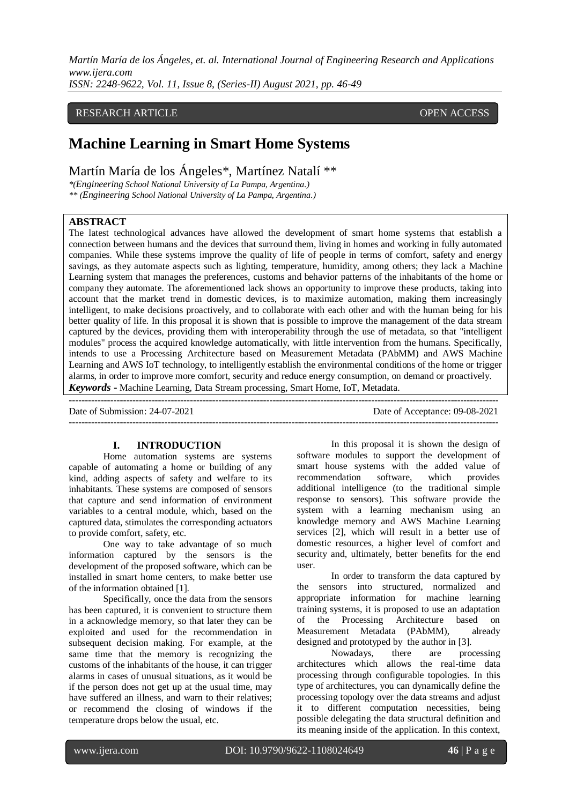## RESEARCH ARTICLE **CONSERVERS** OPEN ACCESS

# **Machine Learning in Smart Home Systems**

Martín María de los Ángeles\*, Martínez Natalí \*\*

*\*(Engineering School National University of La Pampa, Argentina.)*

*\*\* (Engineering School National University of La Pampa, Argentina.)*

## **ABSTRACT**

The latest technological advances have allowed the development of smart home systems that establish a connection between humans and the devices that surround them, living in homes and working in fully automated companies. While these systems improve the quality of life of people in terms of comfort, safety and energy savings, as they automate aspects such as lighting, temperature, humidity, among others; they lack a Machine Learning system that manages the preferences, customs and behavior patterns of the inhabitants of the home or company they automate. The aforementioned lack shows an opportunity to improve these products, taking into account that the market trend in domestic devices, is to maximize automation, making them increasingly intelligent, to make decisions proactively, and to collaborate with each other and with the human being for his better quality of life. In this proposal it is shown that is possible to improve the management of the data stream captured by the devices, providing them with interoperability through the use of metadata, so that "intelligent modules" process the acquired knowledge automatically, with little intervention from the humans. Specifically, intends to use a Processing Architecture based on Measurement Metadata (PAbMM) and AWS Machine Learning and AWS IoT technology, to intelligently establish the environmental conditions of the home or trigger alarms, in order to improve more comfort, security and reduce energy consumption, on demand or proactively. *Keywords* **-** Machine Learning, Data Stream processing, Smart Home, IoT, Metadata.

---------------------------------------------------------------------------------------------------------------------------------------

Date of Submission: 24-07-2021 Date of Acceptance: 09-08-2021

---------------------------------------------------------------------------------------------------------------------------------------

### **I. INTRODUCTION**

Home automation systems are systems capable of automating a home or building of any kind, adding aspects of safety and welfare to its inhabitants. These systems are composed of sensors that capture and send information of environment variables to a central module, which, based on the captured data, stimulates the corresponding actuators to provide comfort, safety, etc.

One way to take advantage of so much information captured by the sensors is the development of the proposed software, which can be installed in smart home centers, to make better use of the information obtained [1].

Specifically, once the data from the sensors has been captured, it is convenient to structure them in a acknowledge memory, so that later they can be exploited and used for the recommendation in subsequent decision making. For example, at the same time that the memory is recognizing the customs of the inhabitants of the house, it can trigger alarms in cases of unusual situations, as it would be if the person does not get up at the usual time, may have suffered an illness, and warn to their relatives; or recommend the closing of windows if the temperature drops below the usual, etc.

In this proposal it is shown the design of software modules to support the development of smart house systems with the added value of recommendation software, which provides additional intelligence (to the traditional simple response to sensors). This software provide the system with a learning mechanism using an knowledge memory and AWS Machine Learning services [2], which will result in a better use of domestic resources, a higher level of comfort and security and, ultimately, better benefits for the end user.

In order to transform the data captured by the sensors into structured, normalized and appropriate information for machine learning training systems, it is proposed to use an adaptation of the Processing Architecture based on Measurement Metadata (PAbMM), already designed and prototyped by the author in [3].

Nowadays, there are processing architectures which allows the real-time data processing through configurable topologies. In this type of architectures, you can dynamically define the processing topology over the data streams and adjust it to different computation necessities, being possible delegating the data structural definition and its meaning inside of the application. In this context,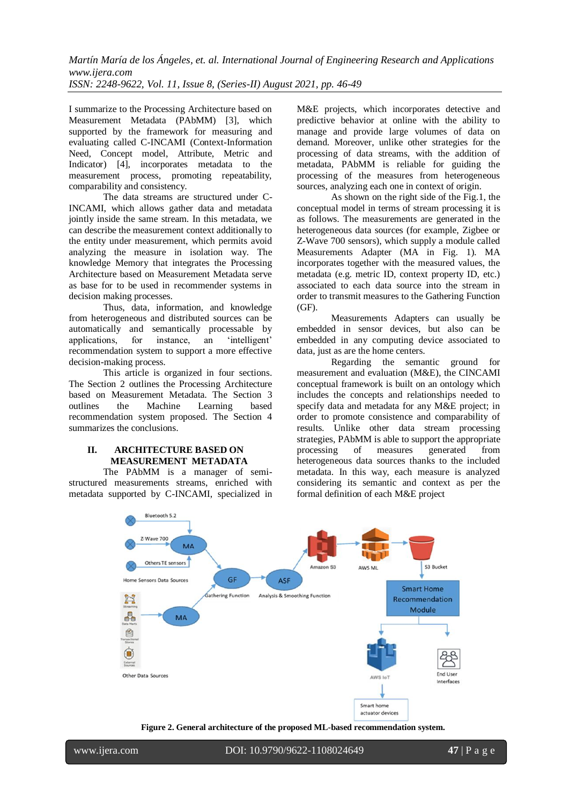I summarize to the Processing Architecture based on Measurement Metadata (PAbMM) [3], which supported by the framework for measuring and evaluating called C-INCAMI (Context-Information Need, Concept model, Attribute, Metric and Indicator) [4], incorporates metadata to the measurement process, promoting repeatability, comparability and consistency.

The data streams are structured under C-INCAMI, which allows gather data and metadata jointly inside the same stream. In this metadata, we can describe the measurement context additionally to the entity under measurement, which permits avoid analyzing the measure in isolation way. The knowledge Memory that integrates the Processing Architecture based on Measurement Metadata serve as base for to be used in recommender systems in decision making processes.

Thus, data, information, and knowledge from heterogeneous and distributed sources can be automatically and semantically processable by applications, for instance, an 'intelligent' recommendation system to support a more effective decision-making process.

This article is organized in four sections. The Section 2 outlines the Processing Architecture based on Measurement Metadata. The Section 3 outlines the Machine Learning based recommendation system proposed. The Section 4 summarizes the conclusions.

#### **II. ARCHITECTURE BASED ON MEASUREMENT METADATA**

The PAbMM is a manager of semistructured measurements streams, enriched with metadata supported by C-INCAMI, specialized in

M&E projects, which incorporates detective and predictive behavior at online with the ability to manage and provide large volumes of data on demand. Moreover, unlike other strategies for the processing of data streams, with the addition of metadata, PAbMM is reliable for guiding the processing of the measures from heterogeneous sources, analyzing each one in context of origin.

As shown on the right side of the Fig.1, the conceptual model in terms of stream processing it is as follows. The measurements are generated in the heterogeneous data sources (for example, Zigbee or Z-Wave 700 sensors), which supply a module called Measurements Adapter (MA in Fig. 1). MA incorporates together with the measured values, the metadata (e.g. metric ID, context property ID, etc.) associated to each data source into the stream in order to transmit measures to the Gathering Function (GF).

Measurements Adapters can usually be embedded in sensor devices, but also can be embedded in any computing device associated to data, just as are the home centers.

Regarding the semantic ground for measurement and evaluation (M&E), the CINCAMI conceptual framework is built on an ontology which includes the concepts and relationships needed to specify data and metadata for any M&E project; in order to promote consistence and comparability of results. Unlike other data stream processing strategies, PAbMM is able to support the appropriate processing of measures generated from heterogeneous data sources thanks to the included metadata. In this way, each measure is analyzed considering its semantic and context as per the formal definition of each M&E project



**Figure 2. General architecture of the proposed ML-based recommendation system.**

www.ijera.com DOI: 10.9790/9622-1108024649 **47** | P a g e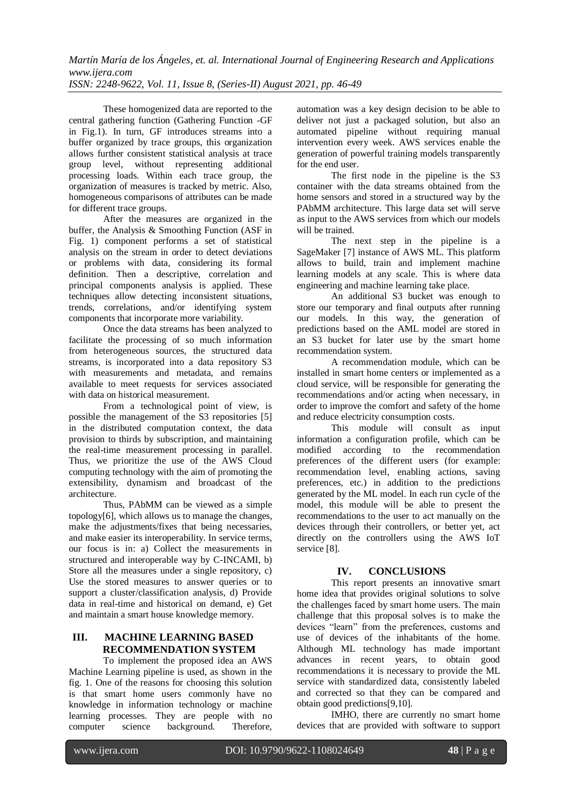These homogenized data are reported to the central gathering function (Gathering Function -GF in Fig.1). In turn, GF introduces streams into a buffer organized by trace groups, this organization allows further consistent statistical analysis at trace group level, without representing additional processing loads. Within each trace group, the organization of measures is tracked by metric. Also, homogeneous comparisons of attributes can be made for different trace groups.

After the measures are organized in the buffer, the Analysis & Smoothing Function (ASF in Fig. 1) component performs a set of statistical analysis on the stream in order to detect deviations or problems with data, considering its formal definition. Then a descriptive, correlation and principal components analysis is applied. These techniques allow detecting inconsistent situations, trends, correlations, and/or identifying system components that incorporate more variability.

Once the data streams has been analyzed to facilitate the processing of so much information from heterogeneous sources, the structured data streams, is incorporated into a data repository S3 with measurements and metadata, and remains available to meet requests for services associated with data on historical measurement.

From a technological point of view, is possible the management of the S3 repositories [5] in the distributed computation context, the data provision to thirds by subscription, and maintaining the real-time measurement processing in parallel. Thus, we prioritize the use of the AWS Cloud computing technology with the aim of promoting the extensibility, dynamism and broadcast of the architecture.

Thus, PAbMM can be viewed as a simple topology[6], which allows us to manage the changes, make the adjustments/fixes that being necessaries, and make easier its interoperability. In service terms, our focus is in: a) Collect the measurements in structured and interoperable way by C-INCAMI, b) Store all the measures under a single repository, c) Use the stored measures to answer queries or to support a cluster/classification analysis, d) Provide data in real-time and historical on demand, e) Get and maintain a smart house knowledge memory.

# **III. MACHINE LEARNING BASED RECOMMENDATION SYSTEM**

To implement the proposed idea an AWS Machine Learning pipeline is used, as shown in the fig. 1. One of the reasons for choosing this solution is that smart home users commonly have no knowledge in information technology or machine learning processes. They are people with no computer science background. Therefore,

automation was a key design decision to be able to deliver not just a packaged solution, but also an automated pipeline without requiring manual intervention every week. AWS services enable the generation of powerful training models transparently for the end user.

The first node in the pipeline is the S3 container with the data streams obtained from the home sensors and stored in a structured way by the PAbMM architecture. This large data set will serve as input to the AWS services from which our models will be trained.

The next step in the pipeline is a SageMaker [7] instance of AWS ML. This platform allows to build, train and implement machine learning models at any scale. This is where data engineering and machine learning take place.

An additional S3 bucket was enough to store our temporary and final outputs after running our models. In this way, the generation of predictions based on the AML model are stored in an S3 bucket for later use by the smart home recommendation system.

A recommendation module, which can be installed in smart home centers or implemented as a cloud service, will be responsible for generating the recommendations and/or acting when necessary, in order to improve the comfort and safety of the home and reduce electricity consumption costs.

This module will consult as input information a configuration profile, which can be modified according to the recommendation preferences of the different users (for example: recommendation level, enabling actions, saving preferences, etc.) in addition to the predictions generated by the ML model. In each run cycle of the model, this module will be able to present the recommendations to the user to act manually on the devices through their controllers, or better yet, act directly on the controllers using the AWS IoT service [8].

# **IV. CONCLUSIONS**

This report presents an innovative smart home idea that provides original solutions to solve the challenges faced by smart home users. The main challenge that this proposal solves is to make the devices "learn" from the preferences, customs and use of devices of the inhabitants of the home. Although ML technology has made important advances in recent years, to obtain good recommendations it is necessary to provide the ML service with standardized data, consistently labeled and corrected so that they can be compared and obtain good predictions[9,10].

IMHO, there are currently no smart home devices that are provided with software to support